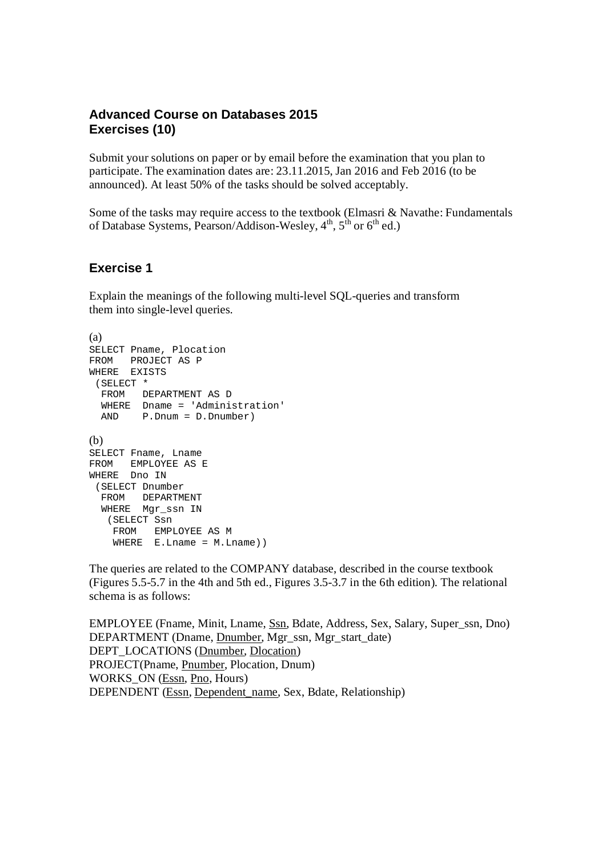## **Advanced Course on Databases 2015 Exercises (10)**

Submit your solutions on paper or by email before the examination that you plan to participate. The examination dates are: 23.11.2015, Jan 2016 and Feb 2016 (to be announced). At least 50% of the tasks should be solved acceptably.

Some of the tasks may require access to the textbook (Elmasri & Navathe: Fundamentals of Database Systems, Pearson/Addison-Wesley, 4<sup>th</sup>, 5<sup>th</sup> or 6<sup>th</sup> ed.)

## **Exercise 1**

Explain the meanings of the following multi-level SQL-queries and transform them into single-level queries.

```
(a)
SELECT Pname, Plocation
FROM PROJECT AS P
WHERE EXISTS
  (SELECT *
  FROM DEPARTMENT AS D
  WHERE Dname = 'Administration'
  AND P.Dnum = D.Dnumber)
(b)
SELECT Fname, Lname
FROM EMPLOYEE AS E
WHERE Dno IN
 (SELECT Dnumber
  FROM DEPARTMENT
 WHERE Mgr_ssn IN
   (SELECT Ssn
    FROM EMPLOYEE AS M
   WHERE E. Lname = M. Lname))
```
The queries are related to the COMPANY database, described in the course textbook (Figures 5.5-5.7 in the 4th and 5th ed., Figures 3.5-3.7 in the 6th edition). The relational schema is as follows:

EMPLOYEE (Fname, Minit, Lname, Ssn, Bdate, Address, Sex, Salary, Super\_ssn, Dno) DEPARTMENT (Dname, Dnumber, Mgr\_ssn, Mgr\_start\_date) DEPT\_LOCATIONS (Dnumber, Dlocation) PROJECT(Pname, Pnumber, Plocation, Dnum) WORKS\_ON (Essn, Pno, Hours) DEPENDENT (Essn, Dependent\_name, Sex, Bdate, Relationship)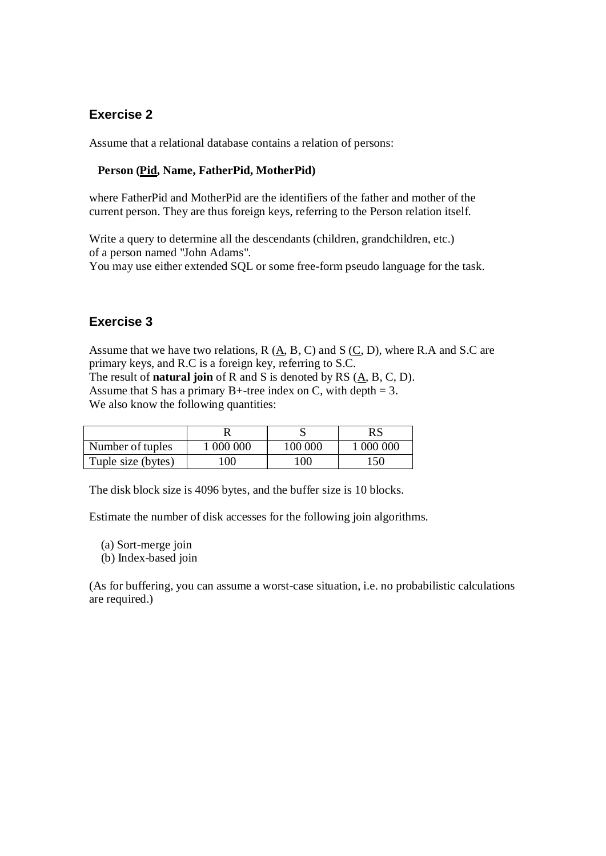Assume that a relational database contains a relation of persons:

### **Person (Pid, Name, FatherPid, MotherPid)**

where FatherPid and MotherPid are the identifiers of the father and mother of the current person. They are thus foreign keys, referring to the Person relation itself.

Write a query to determine all the descendants (children, grandchildren, etc.) of a person named "John Adams".

You may use either extended SQL or some free-form pseudo language for the task.

# **Exercise 3**

Assume that we have two relations, R (A, B, C) and S (C, D), where R.A and S.C are primary keys, and R.C is a foreign key, referring to S.C. The result of **natural join** of R and S is denoted by RS (A, B, C, D). Assume that S has a primary B+-tree index on C, with depth  $= 3$ . We also know the following quantities:

|                    |         |         | RS        |
|--------------------|---------|---------|-----------|
| Number of tuples   | 000 000 | 100 000 | ' 000 000 |
| Tuple size (bytes) | 100     | l00     | l 50      |

The disk block size is 4096 bytes, and the buffer size is 10 blocks.

Estimate the number of disk accesses for the following join algorithms.

(a) Sort-merge join

(b) Index-based join

(As for buffering, you can assume a worst-case situation, i.e. no probabilistic calculations are required.)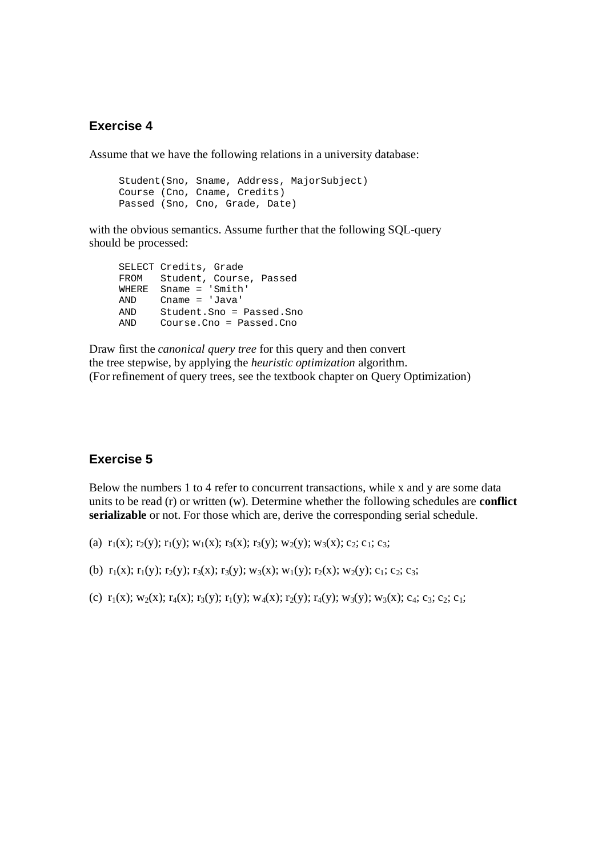Assume that we have the following relations in a university database:

 Student(Sno, Sname, Address, MajorSubject) Course (Cno, Cname, Credits) Passed (Sno, Cno, Grade, Date)

with the obvious semantics. Assume further that the following SOL-query should be processed:

 SELECT Credits, Grade FROM Student, Course, Passed WHERE Sname = 'Smith' AND Cname = 'Java' AND Student.Sno = Passed.Sno AND Course.Cno = Passed.Cno

Draw first the *canonical query tree* for this query and then convert the tree stepwise, by applying the *heuristic optimization* algorithm. (For refinement of query trees, see the textbook chapter on Query Optimization)

## **Exercise 5**

Below the numbers 1 to 4 refer to concurrent transactions, while x and y are some data units to be read (r) or written (w). Determine whether the following schedules are **conflict serializable** or not. For those which are, derive the corresponding serial schedule.

(a)  $r_1(x)$ ;  $r_2(y)$ ;  $r_1(y)$ ;  $w_1(x)$ ;  $r_3(x)$ ;  $r_3(y)$ ;  $w_2(y)$ ;  $w_3(x)$ ; c<sub>2</sub>; c<sub>1</sub>; c<sub>3</sub>;

(b)  $r_1(x); r_1(y); r_2(y); r_3(x); r_3(y); w_3(x); w_1(y); r_2(x); w_2(y); c_1; c_2; c_3;$ 

(c)  $r_1(x)$ ; w<sub>2</sub>(x);  $r_4(x)$ ;  $r_3(y)$ ;  $r_1(y)$ ; w<sub>4</sub>(x);  $r_2(y)$ ;  $r_4(y)$ ; w<sub>3</sub>(y); w<sub>3</sub>(x); c<sub>4</sub>; c<sub>3</sub>; c<sub>2</sub>; c<sub>1</sub>;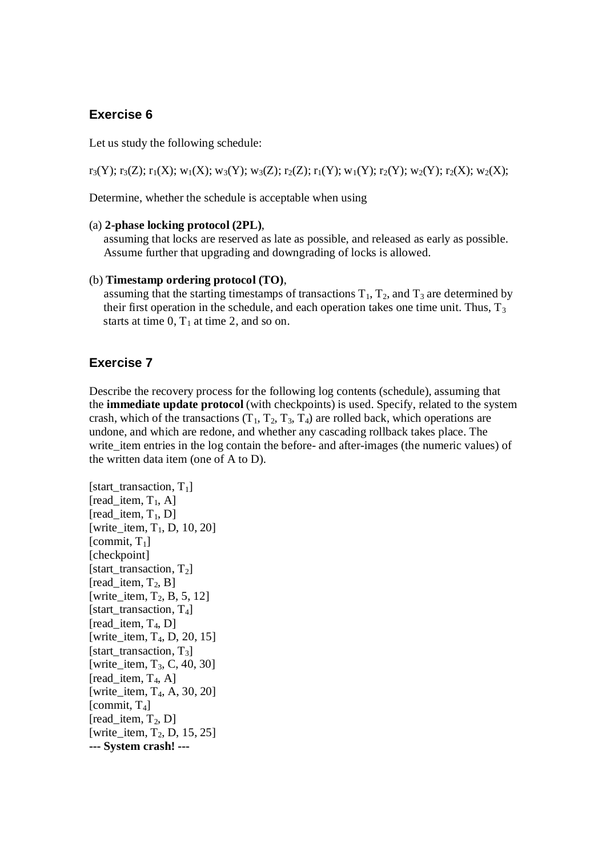Let us study the following schedule:

 $r_3(Y); r_3(Z); r_1(X); w_1(X); w_3(Y); w_3(Z); r_2(Z); r_1(Y); w_1(Y); r_2(Y); w_2(Y); r_2(X); w_2(X);$ 

Determine, whether the schedule is acceptable when using

#### (a) **2-phase locking protocol (2PL)**,

 assuming that locks are reserved as late as possible, and released as early as possible. Assume further that upgrading and downgrading of locks is allowed.

#### (b) **Timestamp ordering protocol (TO)**,

assuming that the starting timestamps of transactions  $T_1$ ,  $T_2$ , and  $T_3$  are determined by their first operation in the schedule, and each operation takes one time unit. Thus,  $T_3$ starts at time  $0, T_1$  at time 2, and so on.

### **Exercise 7**

Describe the recovery process for the following log contents (schedule), assuming that the **immediate update protocol** (with checkpoints) is used. Specify, related to the system crash, which of the transactions  $(T_1, T_2, T_3, T_4)$  are rolled back, which operations are undone, and which are redone, and whether any cascading rollback takes place. The write\_item entries in the log contain the before- and after-images (the numeric values) of the written data item (one of A to D).

```
[start_transaction, T_1]
[read item, T_1, A]
[read_item, T_1, D]
[write_item, T_1, D, 10, 20]
[commit, T<sub>1</sub>][checkpoint]
[start_transaction, T_2]
[read_item, T_2, B]
[write item, T_2, B, 5, 12]
[start_transaction, T_4]
[read\_item, T_4, D][write_item, T_4, D, 20, 15]
[start_transaction, T_3]
[write item, T_3, C, 40, 30]
[read item, T_4, A]
[write item, T_4, A, 30, 20]
[commit, T_4]
[read item, T_2, D]
[write_item, T_2, D, 15, 25]
--- System crash! ---
```